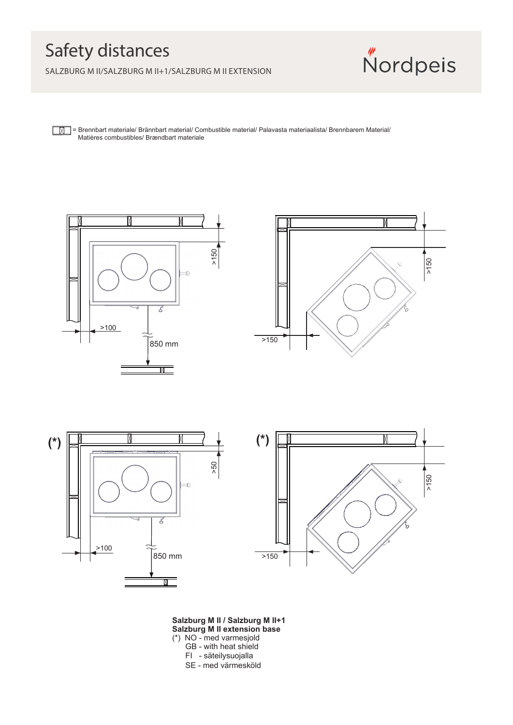## Safety distances

SALZBURG M II/SALZBURG M II+1/SALZBURG M II EXTENSION



**[M]** = Brennbart materiale/ Brännbart material/ Combustible material/ Palavasta materiaalista/ Brennbarem Material/ Matières combustibles/ Brændbart materiale









**Salzburg M II / Salzburg M II+1 Salzburg M II extension base** (\*) NO - med varmesjold GB - with heat shield FI - säteilysuojalla

SE - med värmesköld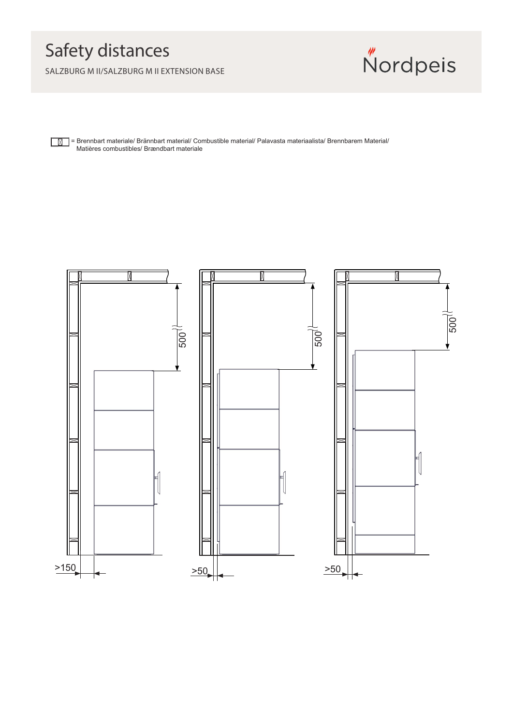## Safety distances

SALZBURG M II/SALZBURG M II EXTENSION BASE



= Brennbart materiale/ Brännbart material/ Combustible material/ Palavasta materiaalista/ Brennbarem Material/  $\sqrt{N}$ Matières combustibles/ Brændbart materiale